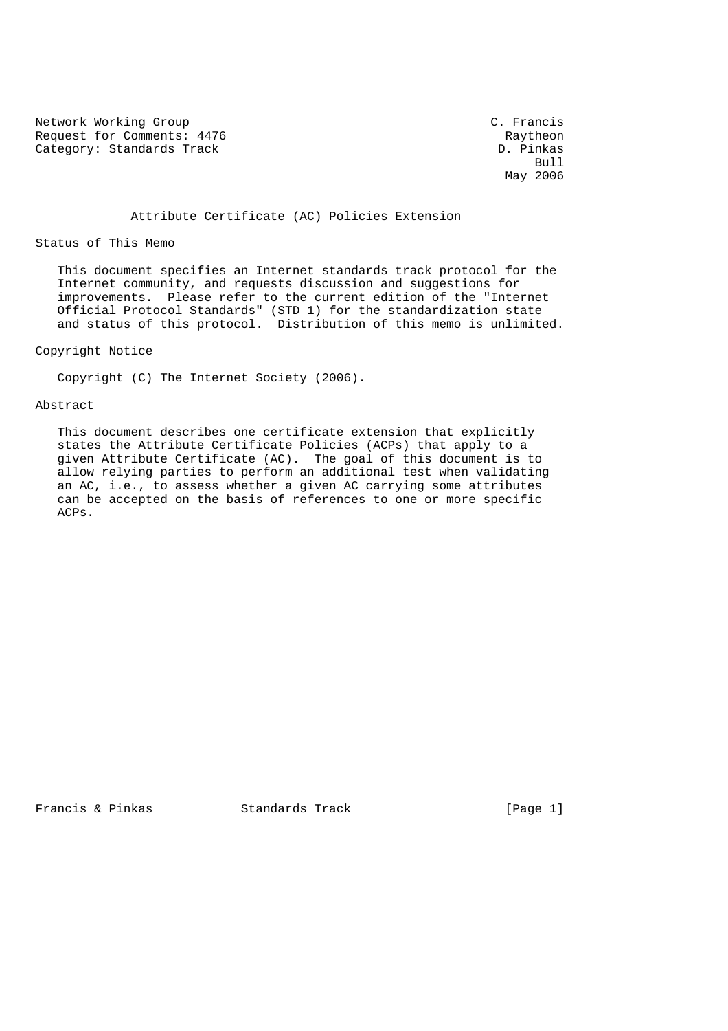Network Working Group C. Francis Request for Comments: 4476 Raytheon Category: Standards Track D. Pinkas

 $Bull$ May 2006

#### Attribute Certificate (AC) Policies Extension

Status of This Memo

 This document specifies an Internet standards track protocol for the Internet community, and requests discussion and suggestions for improvements. Please refer to the current edition of the "Internet Official Protocol Standards" (STD 1) for the standardization state and status of this protocol. Distribution of this memo is unlimited.

Copyright Notice

Copyright (C) The Internet Society (2006).

#### Abstract

 This document describes one certificate extension that explicitly states the Attribute Certificate Policies (ACPs) that apply to a given Attribute Certificate (AC). The goal of this document is to allow relying parties to perform an additional test when validating an AC, i.e., to assess whether a given AC carrying some attributes can be accepted on the basis of references to one or more specific ACPs.

Francis & Pinkas Standards Track [Page 1]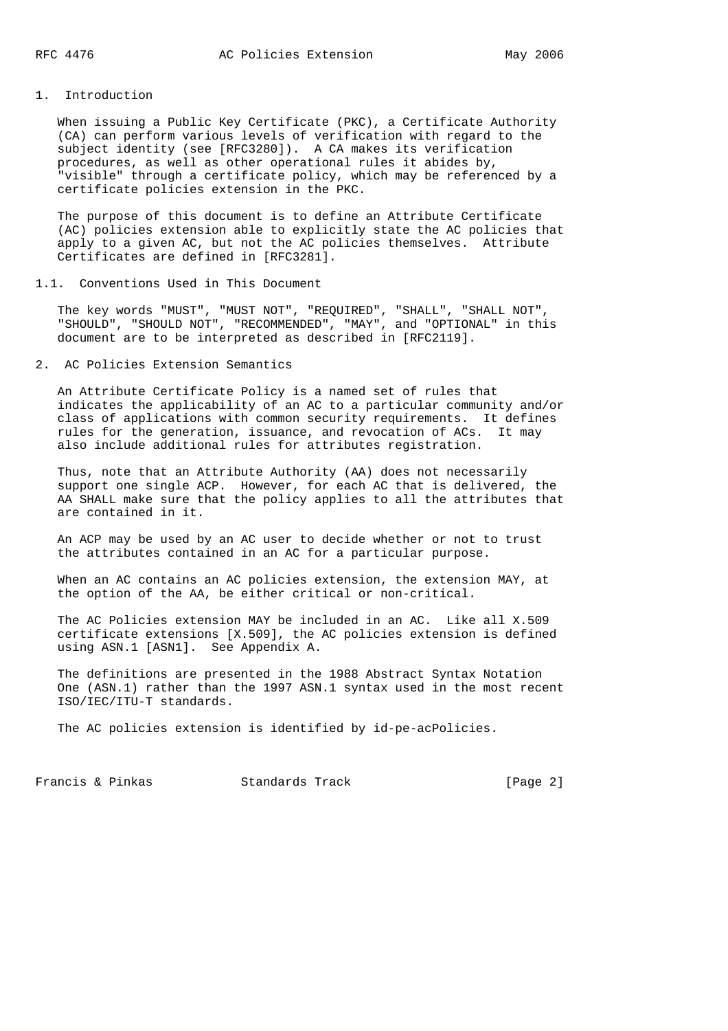# 1. Introduction

 When issuing a Public Key Certificate (PKC), a Certificate Authority (CA) can perform various levels of verification with regard to the subject identity (see [RFC3280]). A CA makes its verification procedures, as well as other operational rules it abides by, "visible" through a certificate policy, which may be referenced by a certificate policies extension in the PKC.

 The purpose of this document is to define an Attribute Certificate (AC) policies extension able to explicitly state the AC policies that apply to a given AC, but not the AC policies themselves. Attribute Certificates are defined in [RFC3281].

## 1.1. Conventions Used in This Document

 The key words "MUST", "MUST NOT", "REQUIRED", "SHALL", "SHALL NOT", "SHOULD", "SHOULD NOT", "RECOMMENDED", "MAY", and "OPTIONAL" in this document are to be interpreted as described in [RFC2119].

# 2. AC Policies Extension Semantics

 An Attribute Certificate Policy is a named set of rules that indicates the applicability of an AC to a particular community and/or class of applications with common security requirements. It defines rules for the generation, issuance, and revocation of ACs. It may also include additional rules for attributes registration.

 Thus, note that an Attribute Authority (AA) does not necessarily support one single ACP. However, for each AC that is delivered, the AA SHALL make sure that the policy applies to all the attributes that are contained in it.

 An ACP may be used by an AC user to decide whether or not to trust the attributes contained in an AC for a particular purpose.

 When an AC contains an AC policies extension, the extension MAY, at the option of the AA, be either critical or non-critical.

 The AC Policies extension MAY be included in an AC. Like all X.509 certificate extensions [X.509], the AC policies extension is defined using ASN.1 [ASN1]. See Appendix A.

 The definitions are presented in the 1988 Abstract Syntax Notation One (ASN.1) rather than the 1997 ASN.1 syntax used in the most recent ISO/IEC/ITU-T standards.

The AC policies extension is identified by id-pe-acPolicies.

Francis & Pinkas Standards Track [Page 2]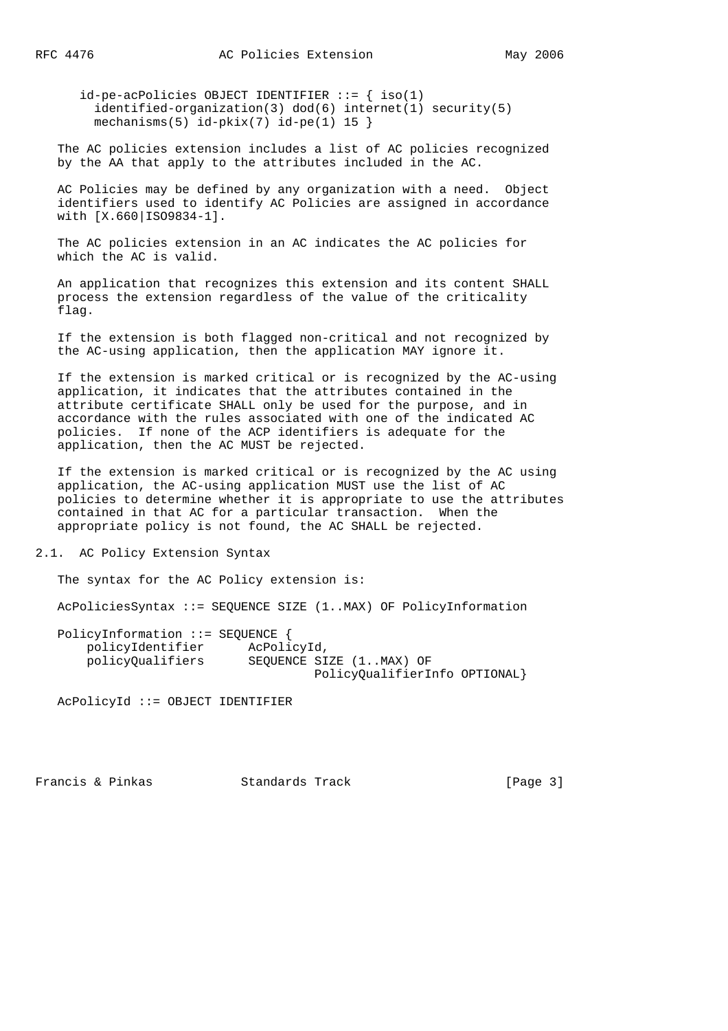id-pe-acPolicies OBJECT IDENTIFIER ::= { iso(1) identified-organization(3) dod(6) internet(1) security(5) mechanisms(5)  $id-pkix(7) id-pe(1) 15$ 

 The AC policies extension includes a list of AC policies recognized by the AA that apply to the attributes included in the AC.

 AC Policies may be defined by any organization with a need. Object identifiers used to identify AC Policies are assigned in accordance with [X.660|ISO9834-1].

 The AC policies extension in an AC indicates the AC policies for which the AC is valid.

 An application that recognizes this extension and its content SHALL process the extension regardless of the value of the criticality flag.

 If the extension is both flagged non-critical and not recognized by the AC-using application, then the application MAY ignore it.

 If the extension is marked critical or is recognized by the AC-using application, it indicates that the attributes contained in the attribute certificate SHALL only be used for the purpose, and in accordance with the rules associated with one of the indicated AC policies. If none of the ACP identifiers is adequate for the application, then the AC MUST be rejected.

 If the extension is marked critical or is recognized by the AC using application, the AC-using application MUST use the list of AC policies to determine whether it is appropriate to use the attributes contained in that AC for a particular transaction. When the appropriate policy is not found, the AC SHALL be rejected.

2.1. AC Policy Extension Syntax

The syntax for the AC Policy extension is:

AcPoliciesSyntax ::= SEQUENCE SIZE (1..MAX) OF PolicyInformation

 PolicyInformation ::= SEQUENCE { policyIdentifier AcPolicyId,<br>policyQualifiers SEQUENCE SI SEQUENCE SIZE (1..MAX) OF PolicyQualifierInfo OPTIONAL}

AcPolicyId ::= OBJECT IDENTIFIER

Francis & Pinkas Standards Track [Page 3]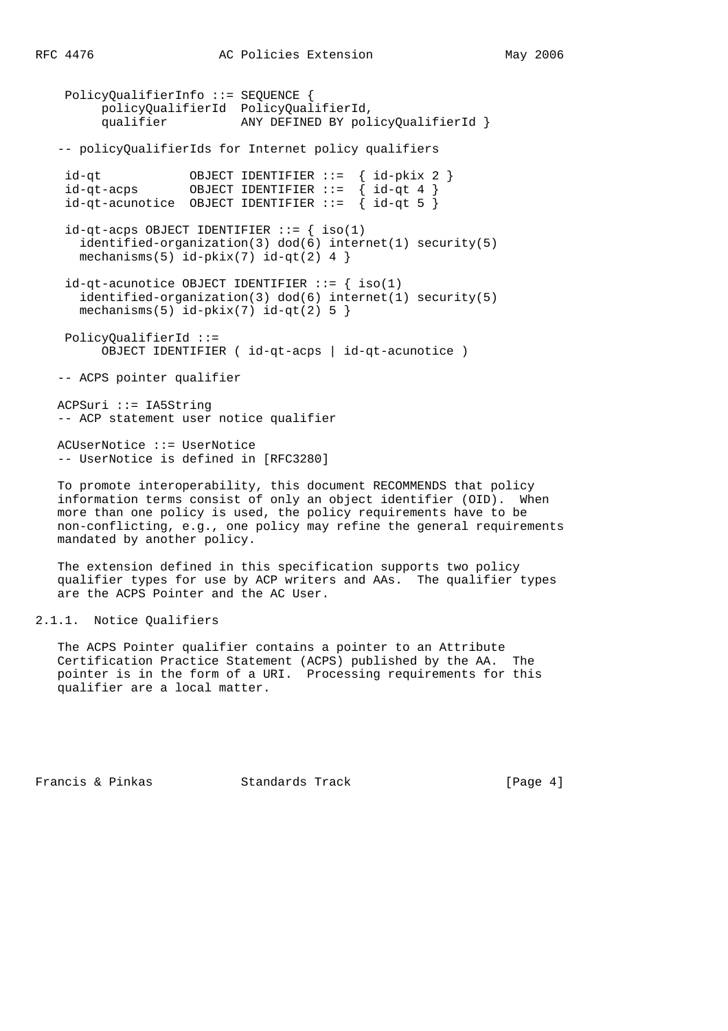PolicyQualifierInfo ::= SEQUENCE { policyQualifierId PolicyQualifierId, qualifier ANY DEFINED BY policyQualifierId } -- policyQualifierIds for Internet policy qualifiers id-qt OBJECT IDENTIFIER ::= { id-pkix 2 } id-qt-acps OBJECT IDENTIFIER ::= { id-qt 4 }  $id-qt-acunotice$  OBJECT IDENTIFIER  $::=$  {  $id-qt 5$  }  $id-qt-aeps$  OBJECT IDENTIFIER  $::=$  {  $iso(1)$  identified-organization(3) dod(6) internet(1) security(5) mechanisms(5)  $id-pkix(7) id-qt(2) 4$  $id$ -qt-acunotice OBJECT IDENTIFIER  $::=$  { iso(1) identified-organization(3) dod(6) internet(1) security(5) mechanisms(5)  $id-pkix(7) id-qt(2) 5$  PolicyQualifierId ::= OBJECT IDENTIFIER ( id-qt-acps | id-qt-acunotice ) -- ACPS pointer qualifier ACPSuri ::= IA5String -- ACP statement user notice qualifier ACUserNotice ::= UserNotice -- UserNotice is defined in [RFC3280]

 To promote interoperability, this document RECOMMENDS that policy information terms consist of only an object identifier (OID). When more than one policy is used, the policy requirements have to be non-conflicting, e.g., one policy may refine the general requirements mandated by another policy.

 The extension defined in this specification supports two policy qualifier types for use by ACP writers and AAs. The qualifier types are the ACPS Pointer and the AC User.

2.1.1. Notice Qualifiers

 The ACPS Pointer qualifier contains a pointer to an Attribute Certification Practice Statement (ACPS) published by the AA. The pointer is in the form of a URI. Processing requirements for this qualifier are a local matter.

Francis & Pinkas Standards Track [Page 4]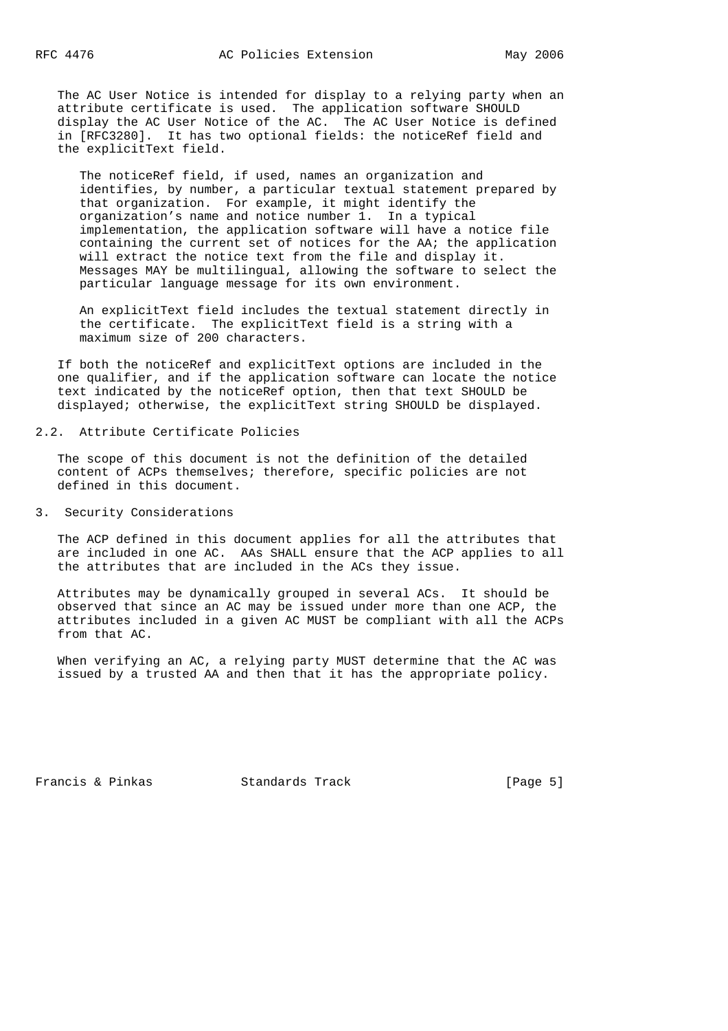The AC User Notice is intended for display to a relying party when an attribute certificate is used. The application software SHOULD display the AC User Notice of the AC. The AC User Notice is defined in [RFC3280]. It has two optional fields: the noticeRef field and the explicitText field.

 The noticeRef field, if used, names an organization and identifies, by number, a particular textual statement prepared by that organization. For example, it might identify the organization's name and notice number 1. In a typical implementation, the application software will have a notice file containing the current set of notices for the AA; the application will extract the notice text from the file and display it. Messages MAY be multilingual, allowing the software to select the particular language message for its own environment.

 An explicitText field includes the textual statement directly in the certificate. The explicitText field is a string with a maximum size of 200 characters.

 If both the noticeRef and explicitText options are included in the one qualifier, and if the application software can locate the notice text indicated by the noticeRef option, then that text SHOULD be displayed; otherwise, the explicitText string SHOULD be displayed.

#### 2.2. Attribute Certificate Policies

 The scope of this document is not the definition of the detailed content of ACPs themselves; therefore, specific policies are not defined in this document.

#### 3. Security Considerations

 The ACP defined in this document applies for all the attributes that are included in one AC. AAs SHALL ensure that the ACP applies to all the attributes that are included in the ACs they issue.

 Attributes may be dynamically grouped in several ACs. It should be observed that since an AC may be issued under more than one ACP, the attributes included in a given AC MUST be compliant with all the ACPs from that AC.

 When verifying an AC, a relying party MUST determine that the AC was issued by a trusted AA and then that it has the appropriate policy.

Francis & Pinkas Standards Track [Page 5]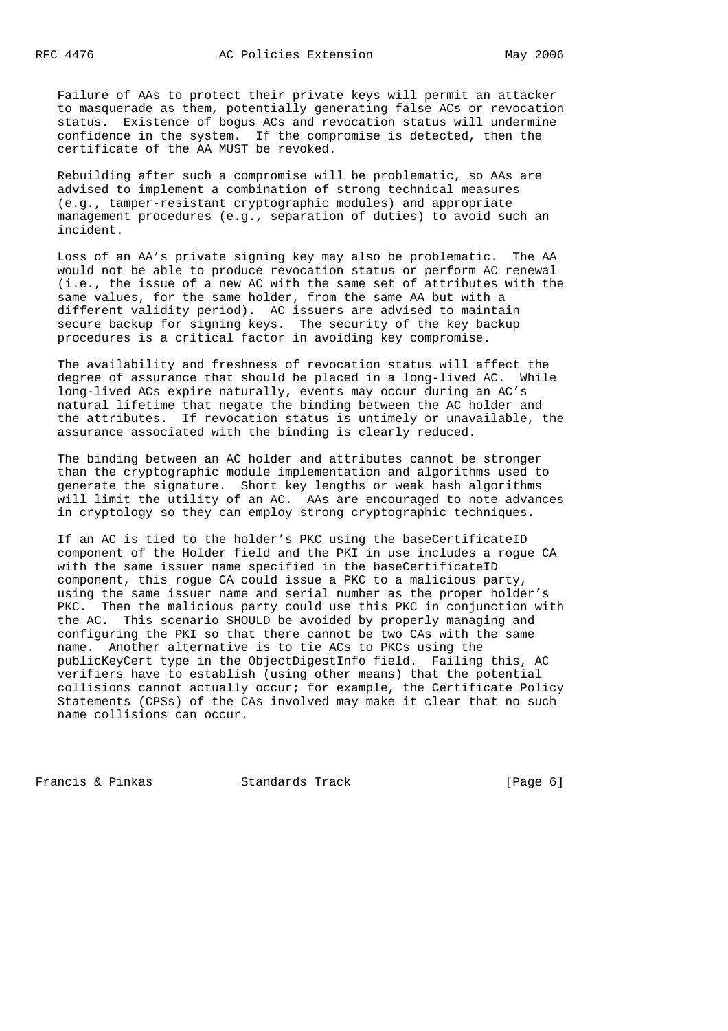Failure of AAs to protect their private keys will permit an attacker to masquerade as them, potentially generating false ACs or revocation status. Existence of bogus ACs and revocation status will undermine confidence in the system. If the compromise is detected, then the certificate of the AA MUST be revoked.

 Rebuilding after such a compromise will be problematic, so AAs are advised to implement a combination of strong technical measures (e.g., tamper-resistant cryptographic modules) and appropriate management procedures (e.g., separation of duties) to avoid such an incident.

 Loss of an AA's private signing key may also be problematic. The AA would not be able to produce revocation status or perform AC renewal (i.e., the issue of a new AC with the same set of attributes with the same values, for the same holder, from the same AA but with a different validity period). AC issuers are advised to maintain secure backup for signing keys. The security of the key backup procedures is a critical factor in avoiding key compromise.

 The availability and freshness of revocation status will affect the degree of assurance that should be placed in a long-lived AC. While long-lived ACs expire naturally, events may occur during an AC's natural lifetime that negate the binding between the AC holder and the attributes. If revocation status is untimely or unavailable, the assurance associated with the binding is clearly reduced.

 The binding between an AC holder and attributes cannot be stronger than the cryptographic module implementation and algorithms used to generate the signature. Short key lengths or weak hash algorithms will limit the utility of an AC. AAs are encouraged to note advances in cryptology so they can employ strong cryptographic techniques.

 If an AC is tied to the holder's PKC using the baseCertificateID component of the Holder field and the PKI in use includes a rogue CA with the same issuer name specified in the baseCertificateID component, this rogue CA could issue a PKC to a malicious party, using the same issuer name and serial number as the proper holder's PKC. Then the malicious party could use this PKC in conjunction with the AC. This scenario SHOULD be avoided by properly managing and configuring the PKI so that there cannot be two CAs with the same name. Another alternative is to tie ACs to PKCs using the publicKeyCert type in the ObjectDigestInfo field. Failing this, AC verifiers have to establish (using other means) that the potential collisions cannot actually occur; for example, the Certificate Policy Statements (CPSs) of the CAs involved may make it clear that no such name collisions can occur.

Francis & Pinkas Standards Track [Page 6]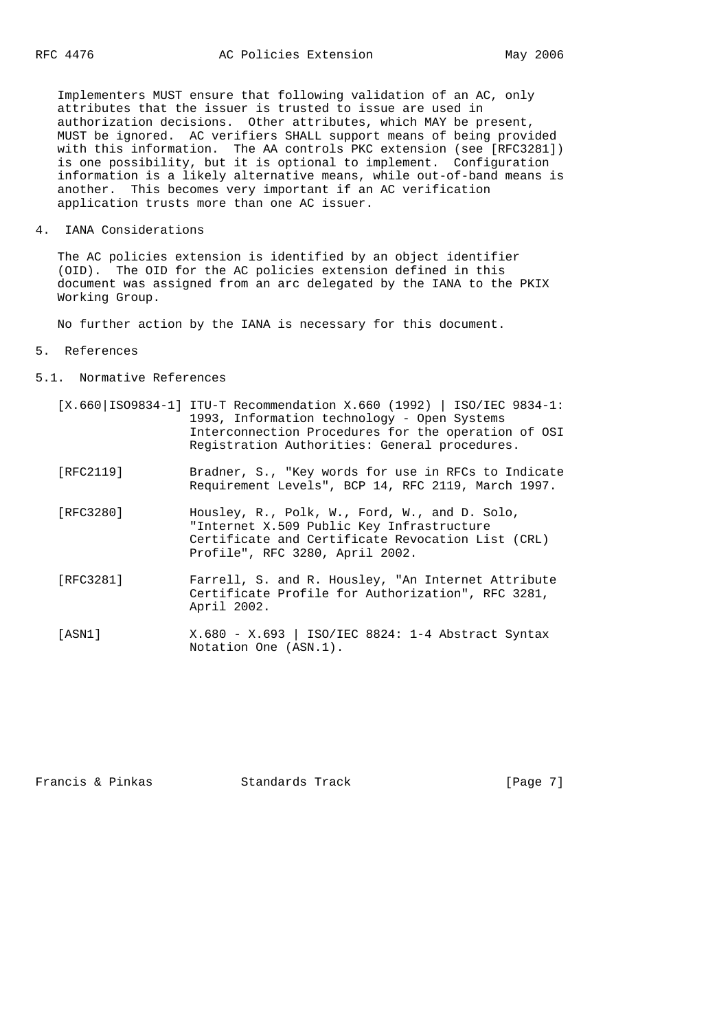Implementers MUST ensure that following validation of an AC, only attributes that the issuer is trusted to issue are used in authorization decisions. Other attributes, which MAY be present, MUST be ignored. AC verifiers SHALL support means of being provided with this information. The AA controls PKC extension (see [RFC3281]) is one possibility, but it is optional to implement. Configuration information is a likely alternative means, while out-of-band means is another. This becomes very important if an AC verification application trusts more than one AC issuer.

4. IANA Considerations

 The AC policies extension is identified by an object identifier (OID). The OID for the AC policies extension defined in this document was assigned from an arc delegated by the IANA to the PKIX Working Group.

No further action by the IANA is necessary for this document.

- 5. References
- 5.1. Normative References

|           | $[X.660 IS09834-1]$ ITU-T Recommendation X.660 (1992)   ISO/IEC 9834-1:<br>1993, Information technology - Open Systems<br>Interconnection Procedures for the operation of OSI<br>Registration Authorities: General procedures. |
|-----------|--------------------------------------------------------------------------------------------------------------------------------------------------------------------------------------------------------------------------------|
| [RFC2119] | Bradner, S., "Key words for use in RFCs to Indicate<br>Requirement Levels", BCP 14, RFC 2119, March 1997.                                                                                                                      |
| [RFC3280] | Housley, R., Polk, W., Ford, W., and D. Solo,<br>"Internet X.509 Public Key Infrastructure<br>Certificate and Certificate Revocation List (CRL)<br>Profile", RFC 3280, April 2002.                                             |
| [RFC3281] | Farrell, S. and R. Housley, "An Internet Attribute<br>Certificate Profile for Authorization", RFC 3281,<br>April 2002.                                                                                                         |
| [ASN1]    | $X.680 - X.693$   ISO/IEC 8824: 1-4 Abstract Syntax<br>Notation One (ASN.1).                                                                                                                                                   |

Francis & Pinkas Standards Track [Page 7]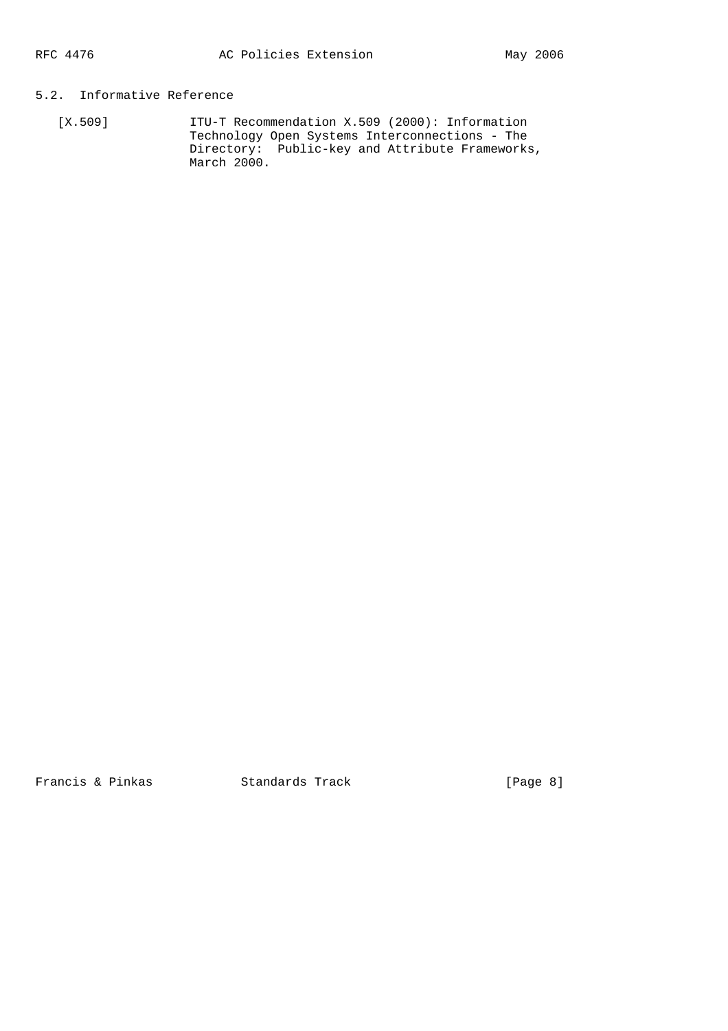# 5.2. Informative Reference

 [X.509] ITU-T Recommendation X.509 (2000): Information Technology Open Systems Interconnections - The Directory: Public-key and Attribute Frameworks, March 2000.

Francis & Pinkas Standards Track [Page 8]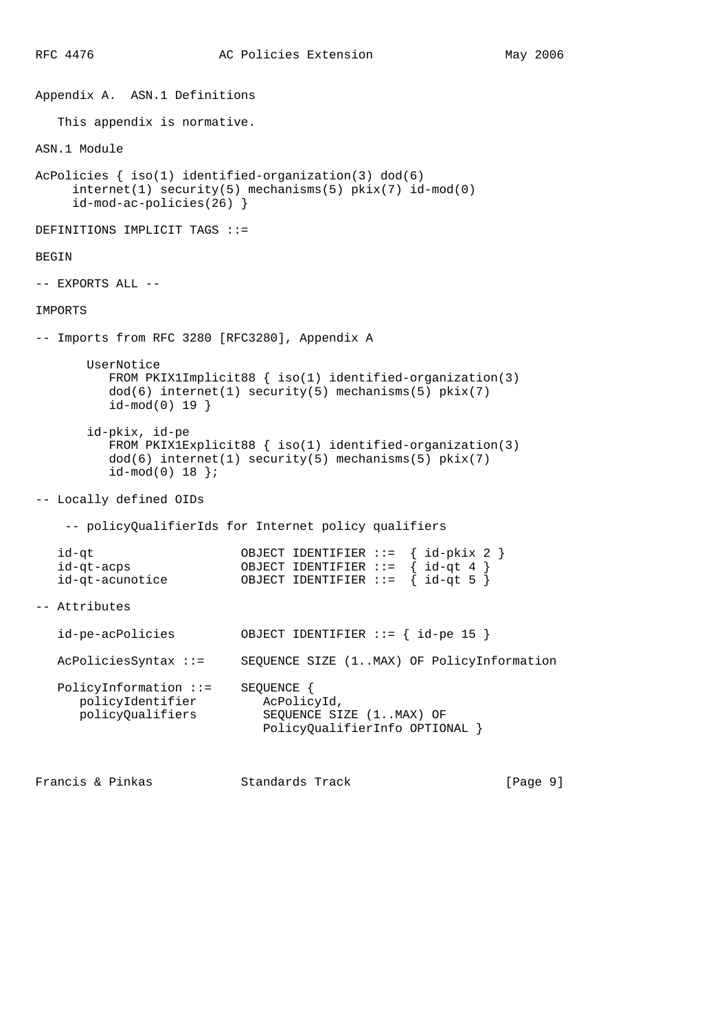Appendix A. ASN.1 Definitions This appendix is normative. ASN.1 Module AcPolicies { iso(1) identified-organization(3) dod(6) internet(1) security(5) mechanisms(5) pkix(7) id-mod(0) id-mod-ac-policies(26) } DEFINITIONS IMPLICIT TAGS ::= BEGIN -- EXPORTS ALL -- IMPORTS -- Imports from RFC 3280 [RFC3280], Appendix A UserNotice FROM PKIX1Implicit88 { iso(1) identified-organization(3)  $dod(6)$  internet(1) security(5) mechanisms(5) pkix(7) id-mod(0) 19 } id-pkix, id-pe FROM PKIX1Explicit88 { iso(1) identified-organization(3) dod(6) internet(1) security(5) mechanisms(5) pkix(7) id-mod(0) 18 }; -- Locally defined OIDs -- policyQualifierIds for Internet policy qualifiers id-qt OBJECT IDENTIFIER ::= { id-pkix 2 } id-qt-acps OBJECT IDENTIFIER ::= { id-qt 4 } id-qt-acunotice OBJECT IDENTIFIER ::= { id-qt 5 } -- Attributes id-pe-acPolicies OBJECT IDENTIFIER ::= { id-pe 15 } AcPoliciesSyntax ::= SEQUENCE SIZE (1..MAX) OF PolicyInformation PolicyInformation ::= SEQUENCE { policyIdentifier<br>policyQualifiers SEQUENCE SIZE (1..MAX) OF PolicyQualifierInfo OPTIONAL }

Francis & Pinkas Standards Track [Page 9]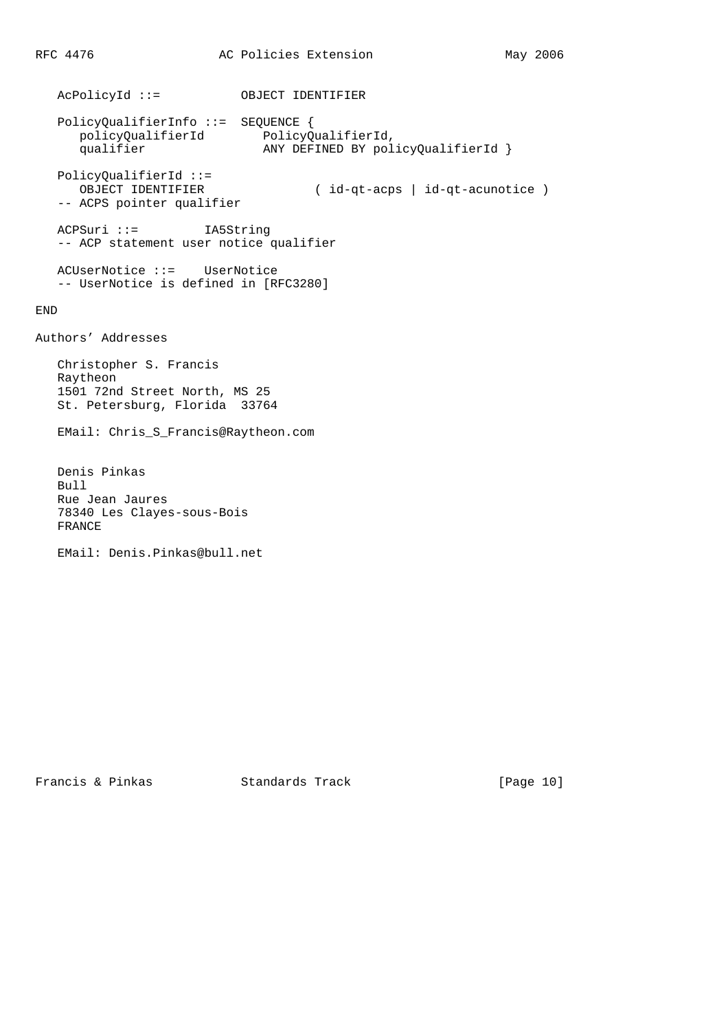AcPolicyId ::= OBJECT IDENTIFIER PolicyQualifierInfo ::= SEQUENCE { policyQualifierId PolicyQualifierId, qualifier ANY DEFINED BY policyQualifierId } PolicyQualifierId ::= ( id-qt-acps | id-qt-acunotice ) OBJECT IDENTIFIER<br>-- ACPS pointer qualifier ACPSuri ::= IA5String -- ACP statement user notice qualifier ACUserNotice ::= UserNotice -- UserNotice is defined in [RFC3280] END Authors' Addresses Christopher S. Francis Raytheon 1501 72nd Street North, MS 25 St. Petersburg, Florida 33764 EMail: Chris\_S\_Francis@Raytheon.com Denis Pinkas Bull Rue Jean Jaures 78340 Les Clayes-sous-Bois FRANCE EMail: Denis.Pinkas@bull.net

Francis & Pinkas Standards Track [Page 10]